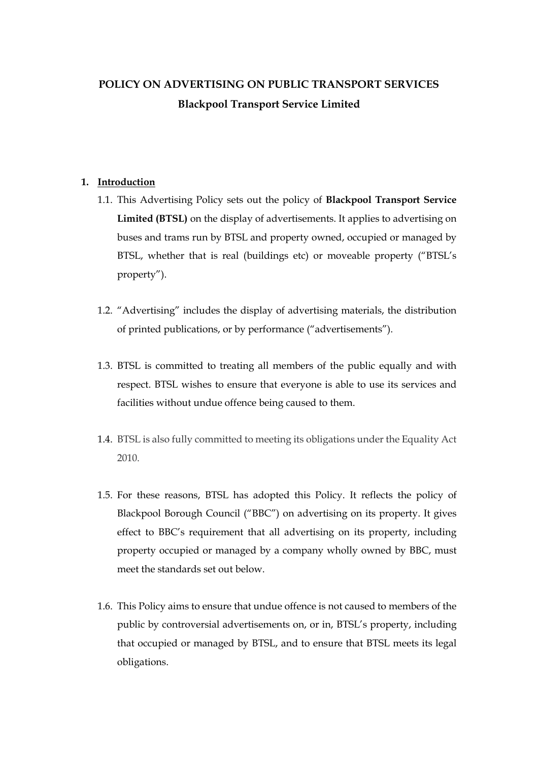## **POLICY ON ADVERTISING ON PUBLIC TRANSPORT SERVICES Blackpool Transport Service Limited**

## **1. Introduction**

- 1.1. This Advertising Policy sets out the policy of **Blackpool Transport Service Limited (BTSL)** on the display of advertisements. It applies to advertising on buses and trams run by BTSL and property owned, occupied or managed by BTSL, whether that is real (buildings etc) or moveable property ("BTSL's property").
- 1.2. "Advertising" includes the display of advertising materials, the distribution of printed publications, or by performance ("advertisements").
- 1.3. BTSL is committed to treating all members of the public equally and with respect. BTSL wishes to ensure that everyone is able to use its services and facilities without undue offence being caused to them.
- 1.4. BTSL is also fully committed to meeting its obligations under the Equality Act 2010.
- 1.5. For these reasons, BTSL has adopted this Policy. It reflects the policy of Blackpool Borough Council ("BBC") on advertising on its property. It gives effect to BBC's requirement that all advertising on its property, including property occupied or managed by a company wholly owned by BBC, must meet the standards set out below.
- 1.6. This Policy aims to ensure that undue offence is not caused to members of the public by controversial advertisements on, or in, BTSL's property, including that occupied or managed by BTSL, and to ensure that BTSL meets its legal obligations.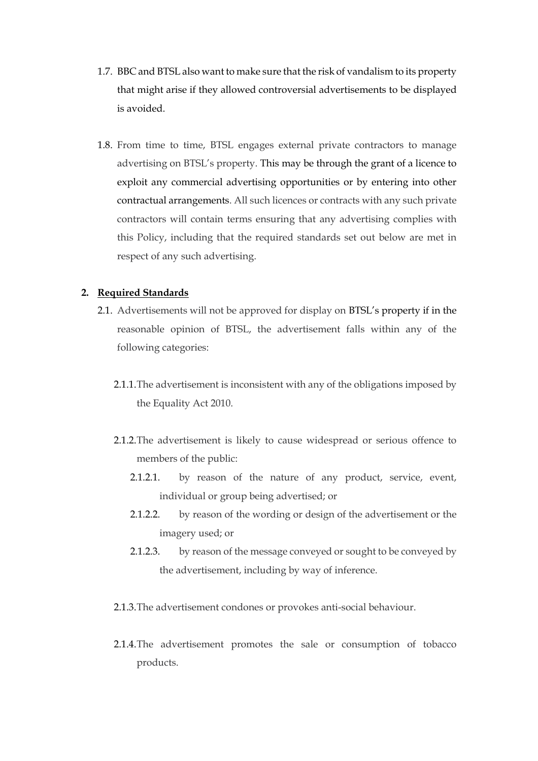- 1.7. BBC and BTSL also want to make sure that the risk of vandalism to its property that might arise if they allowed controversial advertisements to be displayed is avoided.
- 1.8. From time to time, BTSL engages external private contractors to manage advertising on BTSL's property. This may be through the grant of a licence to exploit any commercial advertising opportunities or by entering into other contractual arrangements. All such licences or contracts with any such private contractors will contain terms ensuring that any advertising complies with this Policy, including that the required standards set out below are met in respect of any such advertising.

## **2. Required Standards**

- 2.1. Advertisements will not be approved for display on BTSL's property if in the reasonable opinion of BTSL, the advertisement falls within any of the following categories:
	- 2.1.1.The advertisement is inconsistent with any of the obligations imposed by the Equality Act 2010.
	- 2.1.2.The advertisement is likely to cause widespread or serious offence to members of the public:
		- 2.1.2.1. by reason of the nature of any product, service, event, individual or group being advertised; or
		- 2.1.2.2. by reason of the wording or design of the advertisement or the imagery used; or
		- 2.1.2.3. by reason of the message conveyed or sought to be conveyed by the advertisement, including by way of inference.
	- 2.1.3.The advertisement condones or provokes anti-social behaviour.
	- 2.1.4.The advertisement promotes the sale or consumption of tobacco products.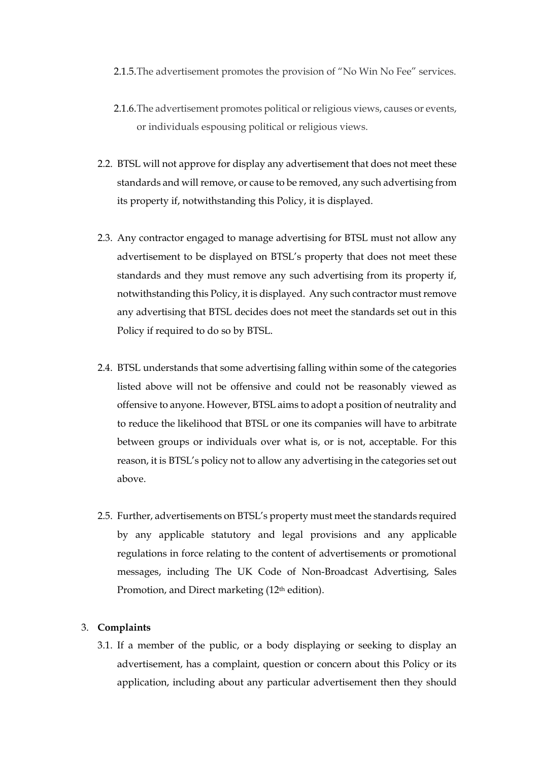- 2.1.5.The advertisement promotes the provision of "No Win No Fee" services.
- 2.1.6.The advertisement promotes political or religious views, causes or events, or individuals espousing political or religious views.
- 2.2. BTSL will not approve for display any advertisement that does not meet these standards and will remove, or cause to be removed, any such advertising from its property if, notwithstanding this Policy, it is displayed.
- 2.3. Any contractor engaged to manage advertising for BTSL must not allow any advertisement to be displayed on BTSL's property that does not meet these standards and they must remove any such advertising from its property if, notwithstanding this Policy, it is displayed. Any such contractor must remove any advertising that BTSL decides does not meet the standards set out in this Policy if required to do so by BTSL.
- 2.4. BTSL understands that some advertising falling within some of the categories listed above will not be offensive and could not be reasonably viewed as offensive to anyone. However, BTSL aims to adopt a position of neutrality and to reduce the likelihood that BTSL or one its companies will have to arbitrate between groups or individuals over what is, or is not, acceptable. For this reason, it is BTSL's policy not to allow any advertising in the categories set out above.
- 2.5. Further, advertisements on BTSL's property must meet the standards required by any applicable statutory and legal provisions and any applicable regulations in force relating to the content of advertisements or promotional messages, including The UK Code of Non-Broadcast Advertising, Sales Promotion, and Direct marketing (12<sup>th</sup> edition).

## 3. **Complaints**

3.1. If a member of the public, or a body displaying or seeking to display an advertisement, has a complaint, question or concern about this Policy or its application, including about any particular advertisement then they should